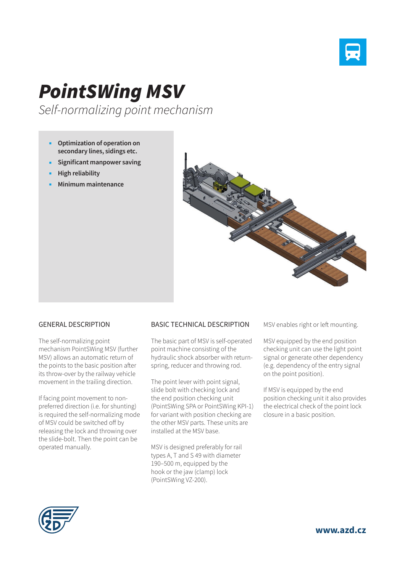

## *PointSWing MSV*

*Self-normalizing point mechanism*

- **Optimization of operation on secondary lines, sidings etc.**
- **Significant manpower saving**
- **High reliability**
- **Minimum maintenance**



## GENERAL DESCRIPTION

The self-normalizing point mechanism PointSWing MSV (further MSV) allows an automatic return of the points to the basic position after its throw-over by the railway vehicle movement in the trailing direction.

If facing point movement to nonpreferred direction (i.e. for shunting) is required the self-normalizing mode of MSV could be switched off by releasing the lock and throwing over the slide-bolt. Then the point can be operated manually.

## BASIC TECHNICAL DESCRIPTION

The basic part of MSV is self-operated point machine consisting of the hydraulic shock absorber with returnspring, reducer and throwing rod.

The point lever with point signal, slide bolt with checking lock and the end position checking unit (PointSWing SPA or PointSWing KPI-1) for variant with position checking are the other MSV parts. These units are installed at the MSV base.

MSV is designed preferably for rail types A, T and S 49 with diameter 190–500 m, equipped by the hook or the jaw (clamp) lock (PointSWing VZ-200).

MSV enables right or left mounting.

MSV equipped by the end position checking unit can use the light point signal or generate other dependency (e.g. dependency of the entry signal on the point position).

If MSV is equipped by the end position checking unit it also provides the electrical check of the point lock closure in a basic position.